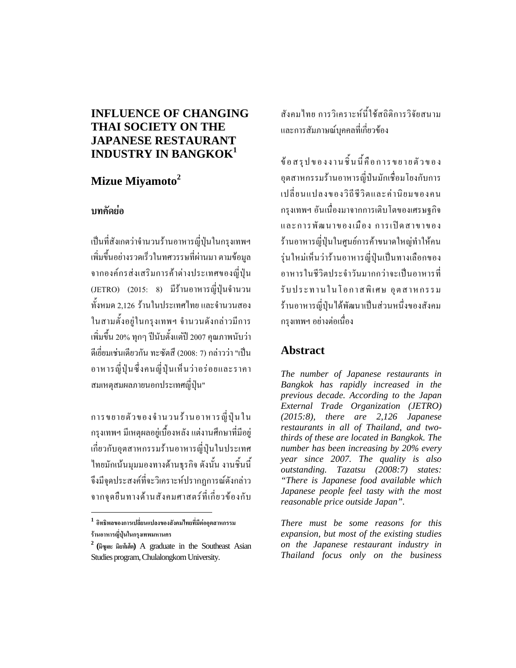## **INFLUENCE OF CHANGING THAI SOCIETY ON THE JAPANESE RESTAURANT INDUSTRY IN BANGKOK<sup>1</sup>**

# **Mizue Miyamoto<sup>2</sup>**

## **บทคัดยอ**

เปนที่สังเกตวาจํานวนรานอาหารญี่ปุนในกรุงเทพฯ เพิ่มขึ้นอยางรวดเร็วในทศวรรษที่ผานมา ตามขอมูล จากองคกรสงเสริมการคาตางประเทศของญี่ปุน (JETRO) (2015: 8) มีรานอาหารญี่ปุนจํานวน ทั้งหมด 2,126 รานในประเทศไทยและจํานวนสอง ในสามตั้งอยูในกรุงเทพฯ จํานวนดังกลาวมีการ เพิ่มขึ้น 20% ทุกๆ ปนับตั้งแตป 2007 คุณภาพนับวา ดีเยี่ยมเชนเดียวกัน ทะซัตสึ (2008: 7) กลาววา "เปน อาหารญี่ปุนซึ่งคนญี่ปุนเห็นวาอรอยและราคา สมเหตุสมผลภายนอกประเทศญี่ปุน"

การขยายตัวของจํานวนรานอาหารญี่ปุนใน กรุงเทพฯ มีเหตุผลอยูเบื้องหลังแตงานศึกษาที่มีอยู เกี่ยวกับอุตสาหกรรมรานอาหารญี่ปุนในประเทศ ไทยมักเนนมุมมองทางดานธุรกิจ ดังนั้น งานชิ้นนี้ จึงมีจุดประสงคที่จะวิเคราะหปรากฏการณดังกลาว จากจุดยืนทางดานสังคมศาสตรที่เกี่ยวของกับ

**<sup>1</sup> อิทธิพลของการเปลี่ยนแปลงของสังคมไทยที่มีตออุตสาหกรรม รานอาหารญี่ปุนในกรุงเทพมหานคร**

 $\overline{a}$ 

สังคมไทย การวิเคราะหนี้ใชสถิติการวิจัยสนาม และการสัมภาษณบุคคลที่เกี่ยวของ

ขอสรุปของงานชิ้นนี้คือการขยายตัวของ อุตสาหกรรมรานอาหารญี่ปนมักเชื่อมโยงกับการ เปลี่ยนแปลงของวิถีชีวิตและคานิยมของคน กรุงเทพฯ อันเนื่องมาจากการเติบโตของเศรษฐกิจ และการพัฒนาของเมือง การเปิดสาขาของ ร้านอาหารญี่ปุ่นในศูนย์การค้าขนาดใหญ่ทำให้คน รุนใหมเห็นวารานอาหารญี่ปุนเปนทางเลือกของ อาหารในชีวิตประจําวันมากกวาจะเปนอาหารที่ รับประทานในโอกาสพิเศษ อุตสาหกรรม รานอาหารญี่ปุนไดพัฒนาเปนสวนหนึ่งของสังคม กรุงเทพฯอยางตอเนื่อง

# **Abstract**

*The number of Japanese restaurants in Bangkok has rapidly increased in the previous decade. According to the Japan External Trade Organization (JETRO) (2015:8), there are 2,126 Japanese restaurants in all of Thailand, and twothirds of these are located in Bangkok. The number has been increasing by 20% every year since 2007. The quality is also outstanding. Tazatsu (2008:7) states: "There is Japanese food available which Japanese people feel tasty with the most reasonable price outside Japan".* 

*There must be some reasons for this expansion, but most of the existing studies on the Japanese restaurant industry in Thailand focus only on the business* 

**<sup>2</sup> (มิซูเอะ มิยาโมโต)** A graduate in the Southeast Asian Studies program, Chulalongkorn University.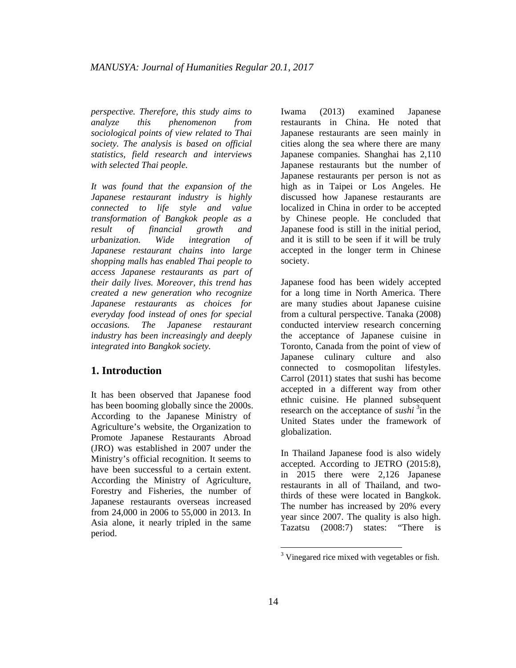*perspective. Therefore, this study aims to analyze this phenomenon from sociological points of view related to Thai society. The analysis is based on official statistics, field research and interviews with selected Thai people.* 

*It was found that the expansion of the Japanese restaurant industry is highly connected to life style and value transformation of Bangkok people as a result of financial growth and urbanization. Wide integration of Japanese restaurant chains into large shopping malls has enabled Thai people to access Japanese restaurants as part of their daily lives. Moreover, this trend has created a new generation who recognize Japanese restaurants as choices for everyday food instead of ones for special occasions. The Japanese restaurant industry has been increasingly and deeply integrated into Bangkok society.* 

#### **1. Introduction**

It has been observed that Japanese food has been booming globally since the 2000s. According to the Japanese Ministry of Agriculture's website, the Organization to Promote Japanese Restaurants Abroad (JRO) was established in 2007 under the Ministry's official recognition. It seems to have been successful to a certain extent. According the Ministry of Agriculture, Forestry and Fisheries, the number of Japanese restaurants overseas increased from 24,000 in 2006 to 55,000 in 2013. In Asia alone, it nearly tripled in the same period.

Iwama (2013) examined Japanese restaurants in China. He noted that Japanese restaurants are seen mainly in cities along the sea where there are many Japanese companies. Shanghai has 2,110 Japanese restaurants but the number of Japanese restaurants per person is not as high as in Taipei or Los Angeles. He discussed how Japanese restaurants are localized in China in order to be accepted by Chinese people. He concluded that Japanese food is still in the initial period, and it is still to be seen if it will be truly accepted in the longer term in Chinese society.

Japanese food has been widely accepted for a long time in North America. There are many studies about Japanese cuisine from a cultural perspective. Tanaka (2008) conducted interview research concerning the acceptance of Japanese cuisine in Toronto, Canada from the point of view of Japanese culinary culture and also connected to cosmopolitan lifestyles. Carrol (2011) states that sushi has become accepted in a different way from other ethnic cuisine. He planned subsequent research on the acceptance of *sushi* <sup>3</sup>in the United States under the framework of globalization.

In Thailand Japanese food is also widely accepted. According to JETRO (2015:8), in 2015 there were 2,126 Japanese restaurants in all of Thailand, and twothirds of these were located in Bangkok. The number has increased by 20% every year since 2007. The quality is also high. Tazatsu (2008:7) states: "There is

1

<sup>&</sup>lt;sup>3</sup> Vinegared rice mixed with vegetables or fish.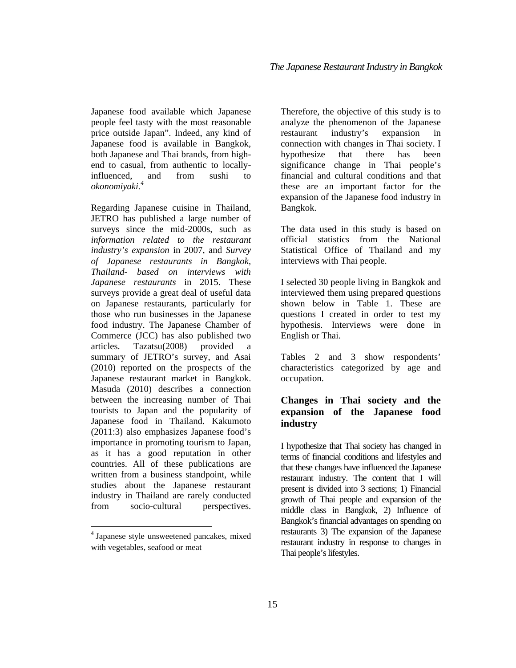Japanese food available which Japanese people feel tasty with the most reasonable price outside Japan". Indeed, any kind of Japanese food is available in Bangkok, both Japanese and Thai brands, from highend to casual, from authentic to locallyinfluenced, and from sushi to *okonomiyaki.<sup>4</sup>*

Regarding Japanese cuisine in Thailand, JETRO has published a large number of surveys since the mid-2000s, such as *information related to the restaurant industry's expansion* in 2007, and *Survey of Japanese restaurants in Bangkok, Thailand- based on interviews with Japanese restaurants* in 2015. These surveys provide a great deal of useful data on Japanese restaurants, particularly for those who run businesses in the Japanese food industry. The Japanese Chamber of Commerce (JCC) has also published two articles. Tazatsu(2008) provided a summary of JETRO's survey, and Asai (2010) reported on the prospects of the Japanese restaurant market in Bangkok. Masuda (2010) describes a connection between the increasing number of Thai tourists to Japan and the popularity of Japanese food in Thailand. Kakumoto (2011:3) also emphasizes Japanese food's importance in promoting tourism to Japan, as it has a good reputation in other countries. All of these publications are written from a business standpoint, while studies about the Japanese restaurant industry in Thailand are rarely conducted from socio-cultural perspectives.

 $\overline{a}$ 

Therefore, the objective of this study is to analyze the phenomenon of the Japanese restaurant industry's expansion in connection with changes in Thai society. I hypothesize that there has been significance change in Thai people's financial and cultural conditions and that these are an important factor for the expansion of the Japanese food industry in Bangkok.

The data used in this study is based on official statistics from the National Statistical Office of Thailand and my interviews with Thai people.

I selected 30 people living in Bangkok and interviewed them using prepared questions shown below in Table 1. These are questions I created in order to test my hypothesis. Interviews were done in English or Thai.

Tables 2 and 3 show respondents' characteristics categorized by age and occupation.

### **Changes in Thai society and the expansion of the Japanese food industry**

I hypothesize that Thai society has changed in terms of financial conditions and lifestyles and that these changes have influenced the Japanese restaurant industry. The content that I will present is divided into 3 sections; 1) Financial growth of Thai people and expansion of the middle class in Bangkok, 2) Influence of Bangkok's financial advantages on spending on restaurants 3) The expansion of the Japanese restaurant industry in response to changes in Thai people's lifestyles.

<sup>4</sup> Japanese style unsweetened pancakes, mixed with vegetables, seafood or meat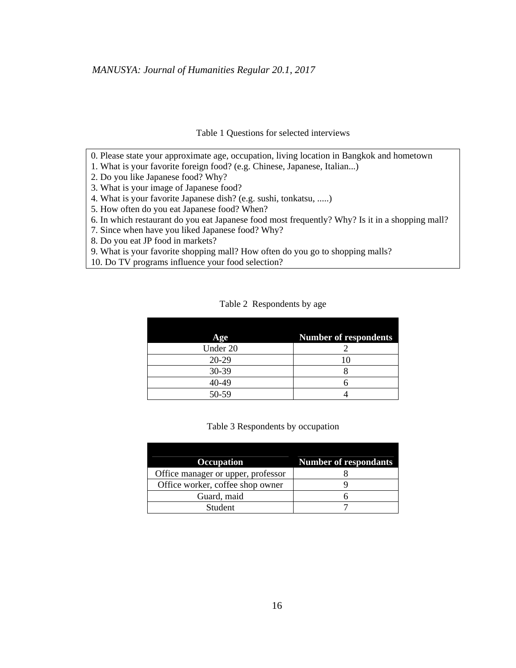#### Table 1 Questions for selected interviews

- 0. Please state your approximate age, occupation, living location in Bangkok and hometown
- 1. What is your favorite foreign food? (e.g. Chinese, Japanese, Italian...)
- 2. Do you like Japanese food? Why?
- 3. What is your image of Japanese food?
- 4. What is your favorite Japanese dish? (e.g. sushi, tonkatsu, .....)
- 5. How often do you eat Japanese food? When?
- 6. In which restaurant do you eat Japanese food most frequently? Why? Is it in a shopping mall?
- 7. Since when have you liked Japanese food? Why?
- 8. Do you eat JP food in markets?
- 9. What is your favorite shopping mall? How often do you go to shopping malls?
- 10. Do TV programs influence your food selection?

Table 2 Respondents by age

| Age      | <b>Number of respondents</b> |
|----------|------------------------------|
| Under 20 |                              |
| $20-29$  |                              |
| 30-39    |                              |
| 40-49    |                              |
| 50-59    |                              |

#### Table 3 Respondents by occupation

| Occupation                         | <b>Number of respondants</b> |
|------------------------------------|------------------------------|
| Office manager or upper, professor |                              |
| Office worker, coffee shop owner   |                              |
| Guard, maid                        |                              |
| <b>Student</b>                     |                              |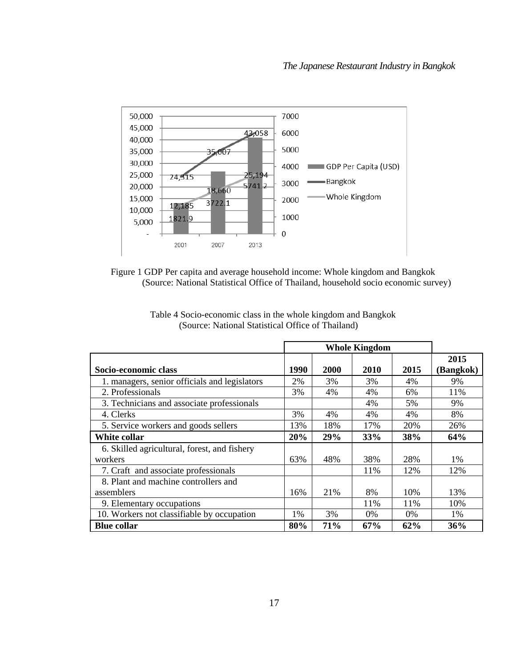



|                                               | <b>Whole Kingdom</b> |      |       |      |                   |
|-----------------------------------------------|----------------------|------|-------|------|-------------------|
| Socio-economic class                          | 1990                 | 2000 | 2010  | 2015 | 2015<br>(Bangkok) |
| 1. managers, senior officials and legislators | 2%                   | 3%   | 3%    | 4%   | 9%                |
| 2. Professionals                              | 3%                   | 4%   | 4%    | 6%   | 11%               |
| 3. Technicians and associate professionals    |                      |      | 4%    | 5%   | 9%                |
| 4. Clerks                                     | 3%                   | 4%   | 4%    | 4%   | 8%                |
| 5. Service workers and goods sellers          | 13%                  | 18%  | 17%   | 20%  | 26%               |
| White collar                                  | 20%                  | 29%  | 33%   | 38%  | 64%               |
| 6. Skilled agricultural, forest, and fishery  |                      |      |       |      |                   |
| workers                                       | 63%                  | 48%  | 38%   | 28%  | $1\%$             |
| 7. Craft and associate professionals          |                      |      | 11%   | 12%  | 12%               |
| 8. Plant and machine controllers and          |                      |      |       |      |                   |
| assemblers                                    | 16%                  | 21%  | 8%    | 10%  | 13%               |
| 9. Elementary occupations                     |                      |      | 11%   | 11%  | 10%               |
| 10. Workers not classifiable by occupation    | 1%                   | 3%   | $0\%$ | 0%   | 1%                |
| <b>Blue collar</b>                            | 80%                  | 71%  | 67%   | 62%  | 36%               |

Table 4 Socio-economic class in the whole kingdom and Bangkok (Source: National Statistical Office of Thailand)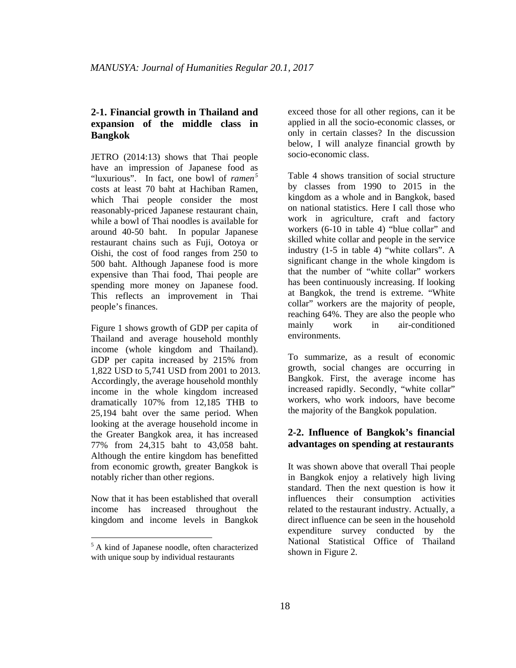#### **2-1. Financial growth in Thailand and expansion of the middle class in Bangkok**

JETRO (2014:13) shows that Thai people have an impression of Japanese food as "luxurious". In fact, one bowl of *ramen 5* costs at least 70 baht at Hachiban Ramen, which Thai people consider the most reasonably-priced Japanese restaurant chain, while a bowl of Thai noodles is available for around 40-50 baht. In popular Japanese restaurant chains such as Fuji, Ootoya or Oishi, the cost of food ranges from 250 to 500 baht. Although Japanese food is more expensive than Thai food, Thai people are spending more money on Japanese food. This reflects an improvement in Thai people's finances.

Figure 1 shows growth of GDP per capita of Thailand and average household monthly income (whole kingdom and Thailand). GDP per capita increased by 215% from 1,822 USD to 5,741 USD from 2001 to 2013. Accordingly, the average household monthly income in the whole kingdom increased dramatically 107% from 12,185 THB to 25,194 baht over the same period. When looking at the average household income in the Greater Bangkok area, it has increased 77% from 24,315 baht to 43,058 baht. Although the entire kingdom has benefitted from economic growth, greater Bangkok is notably richer than other regions.

Now that it has been established that overall income has increased throughout the kingdom and income levels in Bangkok

 $\overline{a}$ 

exceed those for all other regions, can it be applied in all the socio-economic classes, or only in certain classes? In the discussion below, I will analyze financial growth by socio-economic class.

Table 4 shows transition of social structure by classes from 1990 to 2015 in the kingdom as a whole and in Bangkok, based on national statistics. Here I call those who work in agriculture, craft and factory workers (6-10 in table 4) "blue collar" and skilled white collar and people in the service industry (1-5 in table 4) "white collars". A significant change in the whole kingdom is that the number of "white collar" workers has been continuously increasing. If looking at Bangkok, the trend is extreme. "White collar" workers are the majority of people, reaching 64%. They are also the people who mainly work in air-conditioned environments.

To summarize, as a result of economic growth, social changes are occurring in Bangkok. First, the average income has increased rapidly. Secondly, "white collar" workers, who work indoors, have become the majority of the Bangkok population.

#### **2-2. Influence of Bangkok's financial advantages on spending at restaurants**

It was shown above that overall Thai people in Bangkok enjoy a relatively high living standard. Then the next question is how it influences their consumption activities related to the restaurant industry. Actually, a direct influence can be seen in the household expenditure survey conducted by the National Statistical Office of Thailand shown in Figure 2.

<sup>&</sup>lt;sup>5</sup> A kind of Japanese noodle, often characterized with unique soup by individual restaurants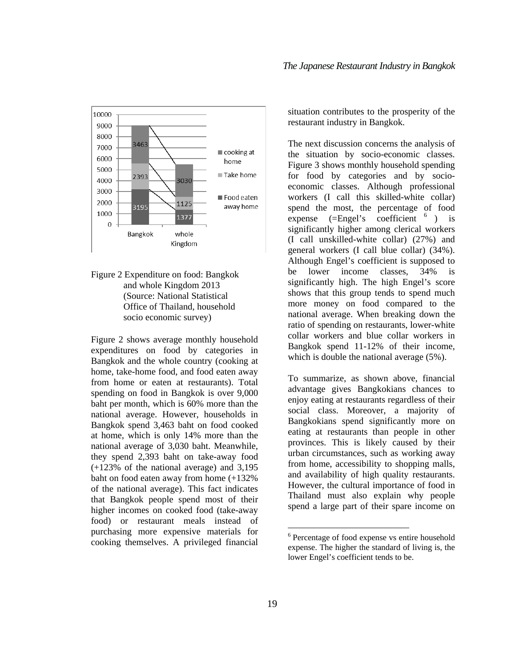

Figure 2 Expenditure on food: Bangkok and whole Kingdom 2013 (Source: National Statistical Office of Thailand, household socio economic survey)

Figure 2 shows average monthly household expenditures on food by categories in Bangkok and the whole country (cooking at home, take-home food, and food eaten away from home or eaten at restaurants). Total spending on food in Bangkok is over 9,000 baht per month, which is 60% more than the national average. However, households in Bangkok spend 3,463 baht on food cooked at home, which is only 14% more than the national average of 3,030 baht. Meanwhile, they spend 2,393 baht on take-away food (+123% of the national average) and 3,195 baht on food eaten away from home (+132% of the national average). This fact indicates that Bangkok people spend most of their higher incomes on cooked food (take-away food) or restaurant meals instead of purchasing more expensive materials for cooking themselves. A privileged financial

situation contributes to the prosperity of the restaurant industry in Bangkok.

The next discussion concerns the analysis of the situation by socio-economic classes. Figure 3 shows monthly household spending for food by categories and by socioeconomic classes. Although professional workers (I call this skilled-white collar) spend the most, the percentage of food expense  $(=\text{Engel's coefficient}^{-6})$  is significantly higher among clerical workers (I call unskilled-white collar) (27%) and general workers (I call blue collar) (34%). Although Engel's coefficient is supposed to be lower income classes, 34% is significantly high. The high Engel's score shows that this group tends to spend much more money on food compared to the national average. When breaking down the ratio of spending on restaurants, lower-white collar workers and blue collar workers in Bangkok spend 11-12% of their income, which is double the national average (5%).

To summarize, as shown above, financial advantage gives Bangkokians chances to enjoy eating at restaurants regardless of their social class. Moreover, a majority of Bangkokians spend significantly more on eating at restaurants than people in other provinces. This is likely caused by their urban circumstances, such as working away from home, accessibility to shopping malls, and availability of high quality restaurants. However, the cultural importance of food in Thailand must also explain why people spend a large part of their spare income on

 $\overline{a}$ 

<sup>6</sup> Percentage of food expense vs entire household expense. The higher the standard of living is, the lower Engel's coefficient tends to be.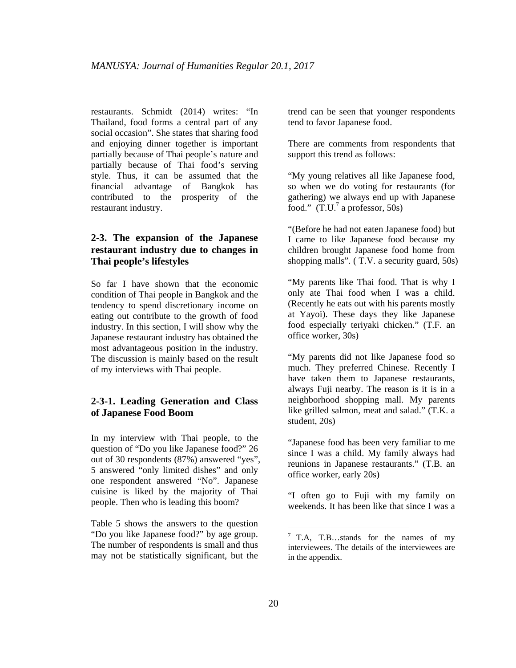restaurants. Schmidt (2014) writes: "In Thailand, food forms a central part of any social occasion". She states that sharing food and enjoying dinner together is important partially because of Thai people's nature and partially because of Thai food's serving style. Thus, it can be assumed that the financial advantage of Bangkok has contributed to the prosperity of the restaurant industry.

#### **2-3. The expansion of the Japanese restaurant industry due to changes in Thai people's lifestyles**

So far I have shown that the economic condition of Thai people in Bangkok and the tendency to spend discretionary income on eating out contribute to the growth of food industry. In this section, I will show why the Japanese restaurant industry has obtained the most advantageous position in the industry. The discussion is mainly based on the result of my interviews with Thai people.

#### **2-3-1. Leading Generation and Class of Japanese Food Boom**

In my interview with Thai people, to the question of "Do you like Japanese food?" 26 out of 30 respondents (87%) answered "yes", 5 answered "only limited dishes" and only one respondent answered "No". Japanese cuisine is liked by the majority of Thai people. Then who is leading this boom?

Table 5 shows the answers to the question "Do you like Japanese food?" by age group. The number of respondents is small and thus may not be statistically significant, but the

trend can be seen that younger respondents tend to favor Japanese food.

There are comments from respondents that support this trend as follows:

"My young relatives all like Japanese food, so when we do voting for restaurants (for gathering) we always end up with Japanese food."  $(T.U.^7$  a professor, 50s)

"(Before he had not eaten Japanese food) but I came to like Japanese food because my children brought Japanese food home from shopping malls". ( T.V. a security guard, 50s)

"My parents like Thai food. That is why I only ate Thai food when I was a child. (Recently he eats out with his parents mostly at Yayoi). These days they like Japanese food especially teriyaki chicken." (T.F. an office worker, 30s)

"My parents did not like Japanese food so much. They preferred Chinese. Recently I have taken them to Japanese restaurants, always Fuji nearby. The reason is it is in a neighborhood shopping mall. My parents like grilled salmon, meat and salad." (T.K. a student, 20s)

"Japanese food has been very familiar to me since I was a child. My family always had reunions in Japanese restaurants." (T.B. an office worker, early 20s)

"I often go to Fuji with my family on weekends. It has been like that since I was a

 $\overline{a}$ 

 $7$  T.A, T.B...stands for the names of my interviewees. The details of the interviewees are in the appendix.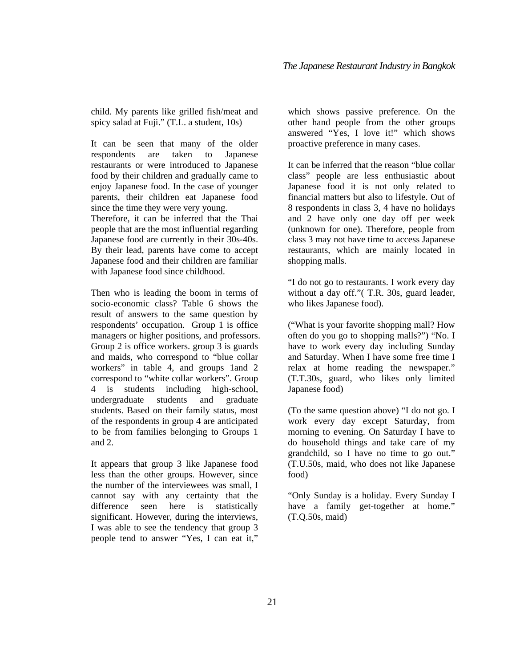child. My parents like grilled fish/meat and spicy salad at Fuji." (T.L. a student, 10s)

It can be seen that many of the older respondents are taken to Japanese restaurants or were introduced to Japanese food by their children and gradually came to enjoy Japanese food. In the case of younger parents, their children eat Japanese food since the time they were very young. Therefore, it can be inferred that the Thai people that are the most influential regarding Japanese food are currently in their 30s-40s. By their lead, parents have come to accept Japanese food and their children are familiar with Japanese food since childhood.

Then who is leading the boom in terms of socio-economic class? Table 6 shows the result of answers to the same question by respondents' occupation. Group 1 is office managers or higher positions, and professors. Group 2 is office workers. group 3 is guards and maids, who correspond to "blue collar workers" in table 4, and groups 1and 2 correspond to "white collar workers". Group 4 is students including high-school, undergraduate students and graduate students. Based on their family status, most of the respondents in group 4 are anticipated to be from families belonging to Groups 1 and 2.

It appears that group 3 like Japanese food less than the other groups. However, since the number of the interviewees was small, I cannot say with any certainty that the difference seen here is statistically significant. However, during the interviews, I was able to see the tendency that group 3 people tend to answer "Yes, I can eat it,"

which shows passive preference. On the other hand people from the other groups answered "Yes, I love it!" which shows proactive preference in many cases.

It can be inferred that the reason "blue collar class" people are less enthusiastic about Japanese food it is not only related to financial matters but also to lifestyle. Out of 8 respondents in class 3, 4 have no holidays and 2 have only one day off per week (unknown for one). Therefore, people from class 3 may not have time to access Japanese restaurants, which are mainly located in shopping malls.

"I do not go to restaurants. I work every day without a day off."( T.R. 30s, guard leader, who likes Japanese food).

("What is your favorite shopping mall? How often do you go to shopping malls?") "No. I have to work every day including Sunday and Saturday. When I have some free time I relax at home reading the newspaper." (T.T.30s, guard, who likes only limited Japanese food)

(To the same question above) "I do not go. I work every day except Saturday, from morning to evening. On Saturday I have to do household things and take care of my grandchild, so I have no time to go out." (T.U.50s, maid, who does not like Japanese food)

"Only Sunday is a holiday. Every Sunday I have a family get-together at home." (T.Q.50s, maid)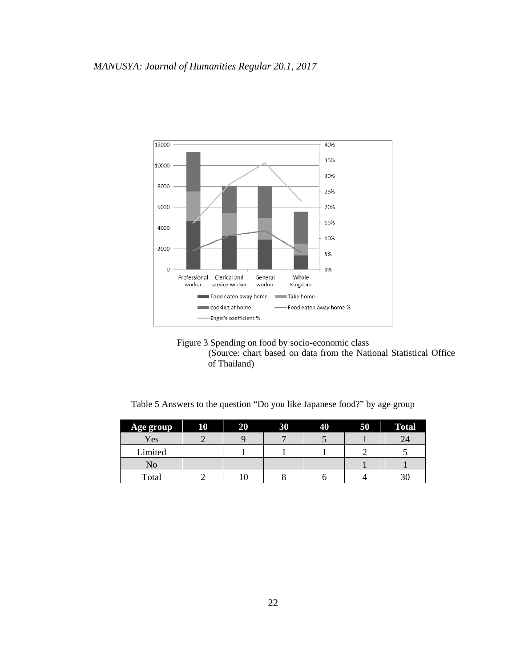

Figure 3 Spending on food by socio-economic class (Source: chart based on data from the National Statistical Office of Thailand)

Table 5 Answers to the question "Do you like Japanese food?" by age group

| Age group | 10 | 20 | 30 | 40 | 50 | <b>Total</b> |
|-----------|----|----|----|----|----|--------------|
| Yes       |    |    |    |    |    | 24           |
| Limited   |    |    |    |    |    |              |
| No        |    |    |    |    |    |              |
| Total     |    |    |    |    |    | 30           |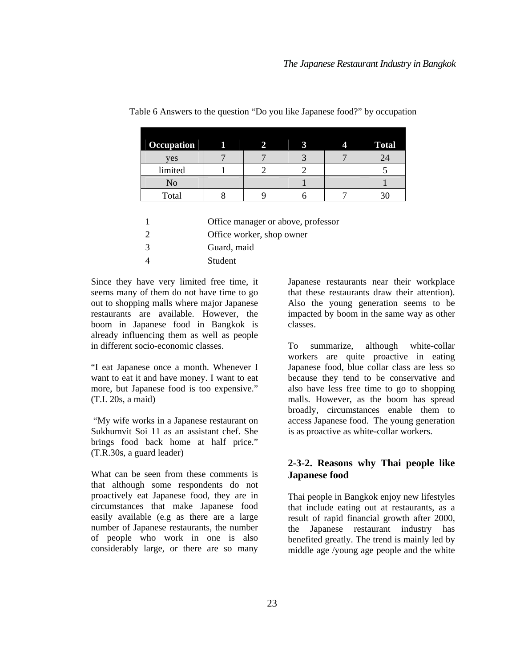| Occupation | Íl | 2 | An Br<br>4 | <b>Total</b> |
|------------|----|---|------------|--------------|
| yes        |    |   |            |              |
| limited    |    |   |            |              |
| No         |    |   |            |              |
| Total      |    |   |            |              |

#### Table 6 Answers to the question "Do you like Japanese food?" by occupation

1 Office manager or above, professor

2 Office worker, shop owner

3 Guard, maid

4 Student

Since they have very limited free time, it seems many of them do not have time to go out to shopping malls where major Japanese restaurants are available. However, the boom in Japanese food in Bangkok is already influencing them as well as people in different socio-economic classes.

"I eat Japanese once a month. Whenever I want to eat it and have money. I want to eat more, but Japanese food is too expensive." (T.I. 20s, a maid)

 "My wife works in a Japanese restaurant on Sukhumvit Soi 11 as an assistant chef. She brings food back home at half price." (T.R.30s, a guard leader)

What can be seen from these comments is that although some respondents do not proactively eat Japanese food, they are in circumstances that make Japanese food easily available (e.g as there are a large number of Japanese restaurants, the number of people who work in one is also considerably large, or there are so many

Japanese restaurants near their workplace that these restaurants draw their attention). Also the young generation seems to be impacted by boom in the same way as other classes.

To summarize, although white-collar workers are quite proactive in eating Japanese food, blue collar class are less so because they tend to be conservative and also have less free time to go to shopping malls. However, as the boom has spread broadly, circumstances enable them to access Japanese food. The young generation is as proactive as white-collar workers.

#### **2-3-2. Reasons why Thai people like Japanese food**

Thai people in Bangkok enjoy new lifestyles that include eating out at restaurants, as a result of rapid financial growth after 2000, the Japanese restaurant industry has benefited greatly. The trend is mainly led by middle age /young age people and the white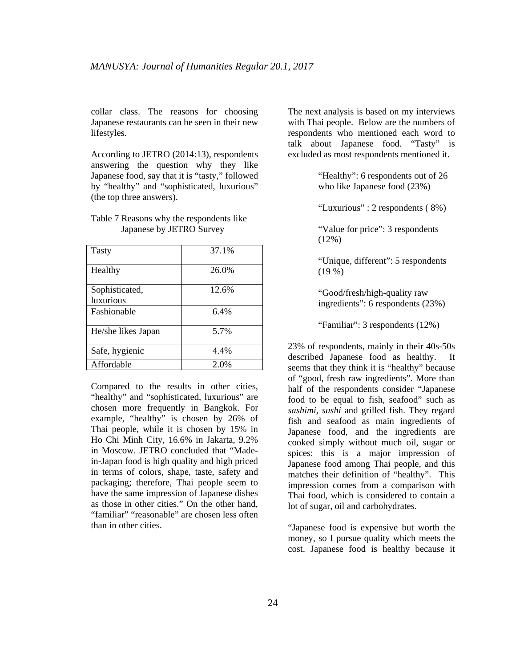collar class. The reasons for choosing Japanese restaurants can be seen in their new lifestyles.

According to JETRO (2014:13), respondents answering the question why they like Japanese food, say that it is "tasty," followed by "healthy" and "sophisticated, luxurious" (the top three answers).

| <b>Tasty</b>       | 37.1% |
|--------------------|-------|
| Healthy            | 26.0% |
| Sophisticated,     | 12.6% |
| luxurious          |       |
| Fashionable        | 6.4%  |
| He/she likes Japan | 5.7%  |
| Safe, hygienic     | 4.4%  |
| Affordable         | 2.0%  |

#### Table 7 Reasons why the respondents like Japanese by JETRO Survey

Compared to the results in other cities, "healthy" and "sophisticated, luxurious" are chosen more frequently in Bangkok. For example, "healthy" is chosen by 26% of Thai people, while it is chosen by 15% in Ho Chi Minh City, 16.6% in Jakarta, 9.2% in Moscow. JETRO concluded that "Madein-Japan food is high quality and high priced in terms of colors, shape, taste, safety and packaging; therefore, Thai people seem to have the same impression of Japanese dishes as those in other cities." On the other hand, "familiar" "reasonable" are chosen less often than in other cities.

The next analysis is based on my interviews with Thai people. Below are the numbers of respondents who mentioned each word to talk about Japanese food. "Tasty" is excluded as most respondents mentioned it.

> "Healthy": 6 respondents out of 26 who like Japanese food (23%)

"Luxurious" : 2 respondents ( 8%)

"Value for price": 3 respondents (12%)

"Unique, different": 5 respondents  $(19 \%)$ 

"Good/fresh/high-quality raw ingredients": 6 respondents (23%)

"Familiar": 3 respondents (12%)

23% of respondents, mainly in their 40s-50s described Japanese food as healthy. It seems that they think it is "healthy" because of "good, fresh raw ingredients". More than half of the respondents consider "Japanese food to be equal to fish, seafood" such as *sashimi, sushi* and grilled fish. They regard fish and seafood as main ingredients of Japanese food, and the ingredients are cooked simply without much oil, sugar or spices: this is a major impression of Japanese food among Thai people, and this matches their definition of "healthy". This impression comes from a comparison with Thai food, which is considered to contain a lot of sugar, oil and carbohydrates.

"Japanese food is expensive but worth the money, so I pursue quality which meets the cost. Japanese food is healthy because it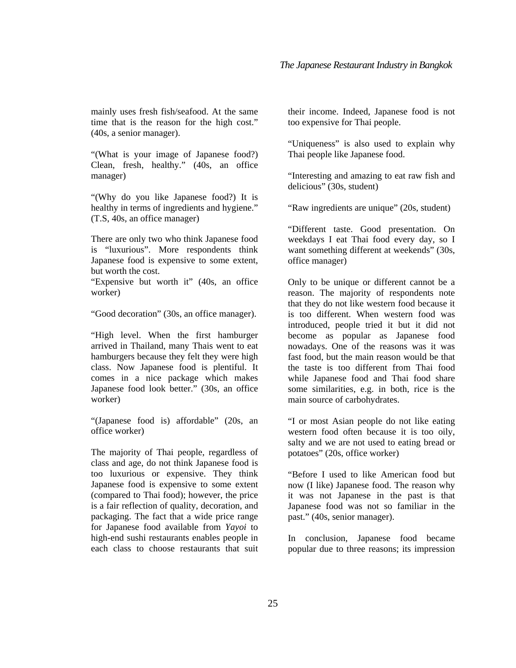mainly uses fresh fish/seafood. At the same time that is the reason for the high cost." (40s, a senior manager).

"(What is your image of Japanese food?) Clean, fresh, healthy." (40s, an office manager)

"(Why do you like Japanese food?) It is healthy in terms of ingredients and hygiene." (T.S, 40s, an office manager)

There are only two who think Japanese food is "luxurious". More respondents think Japanese food is expensive to some extent, but worth the cost.

"Expensive but worth it" (40s, an office worker)

"Good decoration" (30s, an office manager).

"High level. When the first hamburger arrived in Thailand, many Thais went to eat hamburgers because they felt they were high class. Now Japanese food is plentiful. It comes in a nice package which makes Japanese food look better." (30s, an office worker)

"(Japanese food is) affordable" (20s, an office worker)

The majority of Thai people, regardless of class and age, do not think Japanese food is too luxurious or expensive. They think Japanese food is expensive to some extent (compared to Thai food); however, the price is a fair reflection of quality, decoration, and packaging. The fact that a wide price range for Japanese food available from *Yayoi* to high-end sushi restaurants enables people in each class to choose restaurants that suit their income. Indeed, Japanese food is not too expensive for Thai people.

"Uniqueness" is also used to explain why Thai people like Japanese food.

"Interesting and amazing to eat raw fish and delicious" (30s, student)

"Raw ingredients are unique" (20s, student)

"Different taste. Good presentation. On weekdays I eat Thai food every day, so I want something different at weekends" (30s, office manager)

Only to be unique or different cannot be a reason. The majority of respondents note that they do not like western food because it is too different. When western food was introduced, people tried it but it did not become as popular as Japanese food nowadays. One of the reasons was it was fast food, but the main reason would be that the taste is too different from Thai food while Japanese food and Thai food share some similarities, e.g. in both, rice is the main source of carbohydrates.

"I or most Asian people do not like eating western food often because it is too oily, salty and we are not used to eating bread or potatoes" (20s, office worker)

"Before I used to like American food but now (I like) Japanese food. The reason why it was not Japanese in the past is that Japanese food was not so familiar in the past." (40s, senior manager).

In conclusion, Japanese food became popular due to three reasons; its impression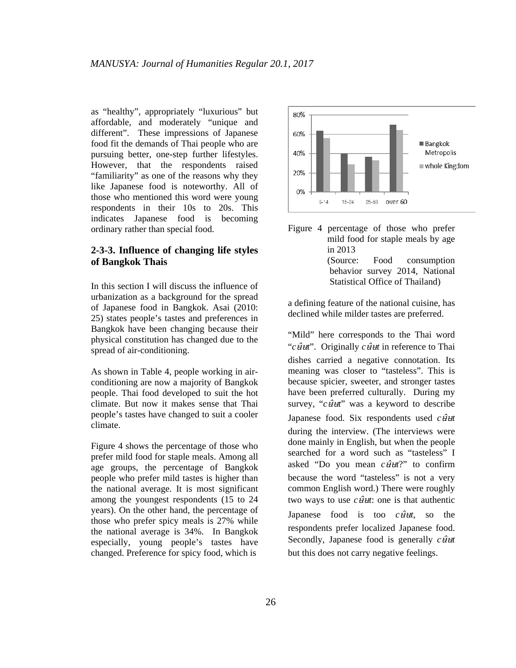as "healthy", appropriately "luxurious" but affordable, and moderately "unique and different". These impressions of Japanese food fit the demands of Thai people who are pursuing better, one-step further lifestyles. However, that the respondents raised "familiarity" as one of the reasons why they like Japanese food is noteworthy. All of those who mentioned this word were young respondents in their 10s to 20s. This indicates Japanese food is becoming ordinary rather than special food.

#### **2-3-3. Influence of changing life styles of Bangkok Thais**

In this section I will discuss the influence of urbanization as a background for the spread of Japanese food in Bangkok. Asai (2010: 25) states people's tastes and preferences in Bangkok have been changing because their physical constitution has changed due to the spread of air-conditioning.

As shown in Table 4, people working in airconditioning are now a majority of Bangkok people. Thai food developed to suit the hot climate. But now it makes sense that Thai people's tastes have changed to suit a cooler climate.

Figure 4 shows the percentage of those who prefer mild food for staple meals. Among all age groups, the percentage of Bangkok people who prefer mild tastes is higher than the national average. It is most significant among the youngest respondents (15 to 24 years). On the other hand, the percentage of those who prefer spicy meals is 27% while the national average is 34%. In Bangkok especially, young people's tastes have changed. Preference for spicy food, which is



Figure 4 percentage of those who prefer mild food for staple meals by age in 2013 (Source: Food consumption behavior survey 2014, National Statistical Office of Thailand)

a defining feature of the national cuisine, has declined while milder tastes are preferred.

"Mild" here corresponds to the Thai word "*c*  $\hat{u}$ <sup>"</sup>. Originally *c*  $\hat{u}$ <sup>\*</sup> in reference to Thai dishes carried a negative connotation. Its meaning was closer to "tasteless". This is because spicier, sweeter, and stronger tastes have been preferred culturally. During my survey, "*c*  $\hat{u}$ <sup>"</sup> was a keyword to describe Japanese food. Six respondents used  $c\hat{u}$ <sup> $t$ </sup> during the interview. (The interviews were done mainly in English, but when the people searched for a word such as "tasteless" I asked "Do you mean  $c\hat{u}$ <sup> $\hat{u}$ </sup>?" to confirm because the word "tasteless" is not a very common English word.) There were roughly two ways to use  $c \hat{H}$ : one is that authentic Japanese food is too  $c\hat{u}t$ , so the respondents prefer localized Japanese food. Secondly, Japanese food is generally  $c\hat{\theta}$ *ut* but this does not carry negative feelings.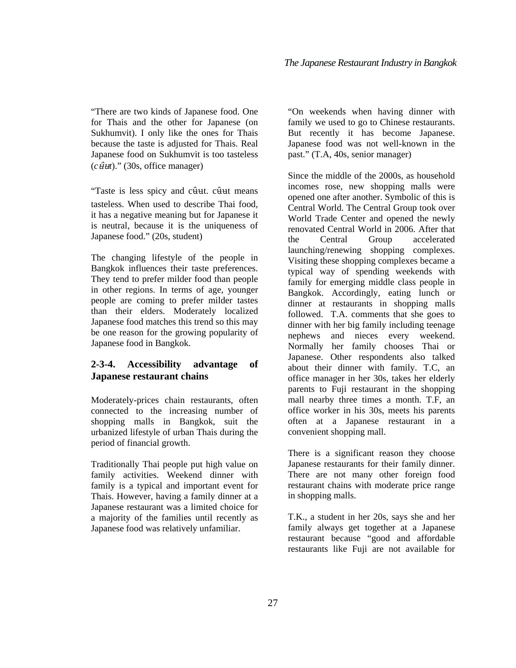"There are two kinds of Japanese food. One for Thais and the other for Japanese (on Sukhumvit). I only like the ones for Thais because the taste is adjusted for Thais. Real Japanese food on Sukhumvit is too tasteless

 $(c \hat{u}$ ut)." (30s, office manager)

"Taste is less spicy and cûut. cûut means tasteless. When used to describe Thai food, it has a negative meaning but for Japanese it is neutral, because it is the uniqueness of Japanese food." (20s, student)

The changing lifestyle of the people in Bangkok influences their taste preferences. They tend to prefer milder food than people in other regions. In terms of age, younger people are coming to prefer milder tastes than their elders. Moderately localized Japanese food matches this trend so this may be one reason for the growing popularity of Japanese food in Bangkok.

#### **2-3-4. Accessibility advantage of Japanese restaurant chains**

Moderately-prices chain restaurants, often connected to the increasing number of shopping malls in Bangkok, suit the urbanized lifestyle of urban Thais during the period of financial growth.

Traditionally Thai people put high value on family activities. Weekend dinner with family is a typical and important event for Thais. However, having a family dinner at a Japanese restaurant was a limited choice for a majority of the families until recently as Japanese food was relatively unfamiliar.

"On weekends when having dinner with family we used to go to Chinese restaurants. But recently it has become Japanese. Japanese food was not well-known in the past." (T.A, 40s, senior manager)

Since the middle of the 2000s, as household incomes rose, new shopping malls were opened one after another. Symbolic of this is Central World. The Central Group took over World Trade Center and opened the newly renovated Central World in 2006. After that the Central Group accelerated launching/renewing shopping complexes. Visiting these shopping complexes became a typical way of spending weekends with family for emerging middle class people in Bangkok. Accordingly, eating lunch or dinner at restaurants in shopping malls followed. T.A. comments that she goes to dinner with her big family including teenage nephews and nieces every weekend. Normally her family chooses Thai or Japanese. Other respondents also talked about their dinner with family. T.C, an office manager in her 30s, takes her elderly parents to Fuji restaurant in the shopping mall nearby three times a month. T.F, an office worker in his 30s, meets his parents often at a Japanese restaurant in a convenient shopping mall.

There is a significant reason they choose Japanese restaurants for their family dinner. There are not many other foreign food restaurant chains with moderate price range in shopping malls.

T.K., a student in her 20s, says she and her family always get together at a Japanese restaurant because "good and affordable restaurants like Fuji are not available for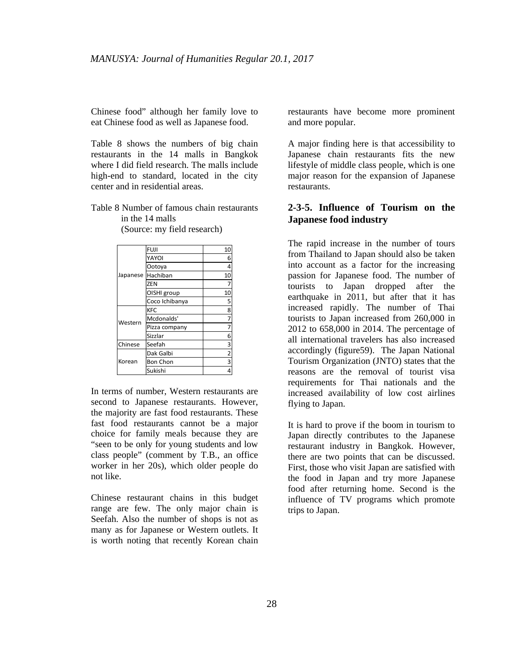Chinese food" although her family love to eat Chinese food as well as Japanese food.

Table 8 shows the numbers of big chain restaurants in the 14 malls in Bangkok where I did field research. The malls include high-end to standard, located in the city center and in residential areas.

Table 8 Number of famous chain restaurants in the 14 malls

| Japanese | <b>FUJI</b>     | 10                      |
|----------|-----------------|-------------------------|
|          | YAYOI           | 6                       |
|          | Ootoya          | 4                       |
|          | Hachiban        | 10                      |
|          | ZEN             | 7                       |
|          | OISHI group     | 10                      |
|          | Coco Ichibanya  | 5                       |
|          | <b>KFC</b>      | 8                       |
| Western  | Mcdonalds'      | 7                       |
|          | Pizza company   | 7                       |
|          | Sizzlar         | 6                       |
| Chinese  | Seefah          | $\overline{\mathbf{3}}$ |
| Korean   | Dak Galbi       | $\overline{2}$          |
|          | <b>Bon Chon</b> | 3                       |
|          | Sukishi         | 4                       |

(Source: my field research)

In terms of number, Western restaurants are second to Japanese restaurants. However, the majority are fast food restaurants. These fast food restaurants cannot be a major choice for family meals because they are "seen to be only for young students and low class people" (comment by T.B., an office worker in her 20s), which older people do not like.

Chinese restaurant chains in this budget range are few. The only major chain is Seefah. Also the number of shops is not as many as for Japanese or Western outlets. It is worth noting that recently Korean chain restaurants have become more prominent and more popular.

A major finding here is that accessibility to Japanese chain restaurants fits the new lifestyle of middle class people, which is one major reason for the expansion of Japanese restaurants.

#### **2-3-5. Influence of Tourism on the Japanese food industry**

The rapid increase in the number of tours from Thailand to Japan should also be taken into account as a factor for the increasing passion for Japanese food. The number of tourists to Japan dropped after the earthquake in 2011, but after that it has increased rapidly. The number of Thai tourists to Japan increased from 260,000 in 2012 to 658,000 in 2014. The percentage of all international travelers has also increased accordingly (figure59). The Japan National Tourism Organization (JNTO) states that the reasons are the removal of tourist visa requirements for Thai nationals and the increased availability of low cost airlines flying to Japan.

It is hard to prove if the boom in tourism to Japan directly contributes to the Japanese restaurant industry in Bangkok. However, there are two points that can be discussed. First, those who visit Japan are satisfied with the food in Japan and try more Japanese food after returning home. Second is the influence of TV programs which promote trips to Japan.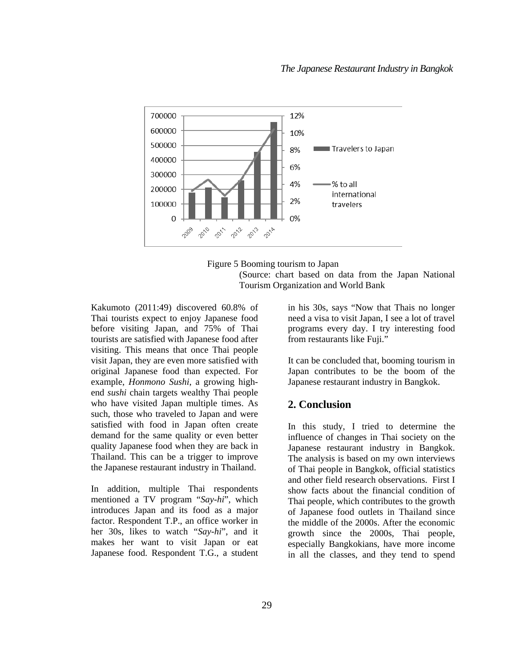



Kakumoto (2011:49) discovered 60.8% of Thai tourists expect to enjoy Japanese food before visiting Japan, and 75% of Thai tourists are satisfied with Japanese food after visiting. This means that once Thai people visit Japan, they are even more satisfied with original Japanese food than expected. For example, *Honmono Sushi*, a growing highend *sushi* chain targets wealthy Thai people who have visited Japan multiple times. As such, those who traveled to Japan and were satisfied with food in Japan often create demand for the same quality or even better quality Japanese food when they are back in Thailand. This can be a trigger to improve the Japanese restaurant industry in Thailand.

In addition, multiple Thai respondents mentioned a TV program "*Say-hi*", which introduces Japan and its food as a major factor. Respondent T.P., an office worker in her 30s, likes to watch "*Say-hi*", and it makes her want to visit Japan or eat Japanese food. Respondent T.G., a student

in his 30s, says "Now that Thais no longer need a visa to visit Japan, I see a lot of travel programs every day. I try interesting food from restaurants like Fuji."

It can be concluded that, booming tourism in Japan contributes to be the boom of the Japanese restaurant industry in Bangkok.

#### **2. Conclusion**

In this study, I tried to determine the influence of changes in Thai society on the Japanese restaurant industry in Bangkok. The analysis is based on my own interviews of Thai people in Bangkok, official statistics and other field research observations. First I show facts about the financial condition of Thai people, which contributes to the growth of Japanese food outlets in Thailand since the middle of the 2000s. After the economic growth since the 2000s, Thai people, especially Bangkokians, have more income in all the classes, and they tend to spend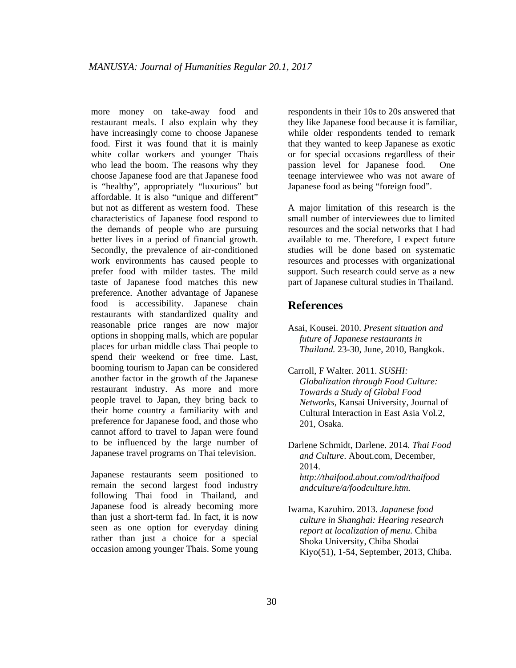more money on take-away food and restaurant meals. I also explain why they have increasingly come to choose Japanese food. First it was found that it is mainly white collar workers and younger Thais who lead the boom. The reasons why they choose Japanese food are that Japanese food is "healthy", appropriately "luxurious" but affordable. It is also "unique and different" but not as different as western food. These characteristics of Japanese food respond to the demands of people who are pursuing better lives in a period of financial growth. Secondly, the prevalence of air-conditioned work environments has caused people to prefer food with milder tastes. The mild taste of Japanese food matches this new preference. Another advantage of Japanese food is accessibility. Japanese chain restaurants with standardized quality and reasonable price ranges are now major options in shopping malls, which are popular places for urban middle class Thai people to spend their weekend or free time. Last, booming tourism to Japan can be considered another factor in the growth of the Japanese restaurant industry. As more and more people travel to Japan, they bring back to their home country a familiarity with and preference for Japanese food, and those who cannot afford to travel to Japan were found to be influenced by the large number of Japanese travel programs on Thai television.

Japanese restaurants seem positioned to remain the second largest food industry following Thai food in Thailand, and Japanese food is already becoming more than just a short-term fad. In fact, it is now seen as one option for everyday dining rather than just a choice for a special occasion among younger Thais. Some young respondents in their 10s to 20s answered that they like Japanese food because it is familiar, while older respondents tended to remark that they wanted to keep Japanese as exotic or for special occasions regardless of their passion level for Japanese food. One teenage interviewee who was not aware of Japanese food as being "foreign food".

A major limitation of this research is the small number of interviewees due to limited resources and the social networks that I had available to me. Therefore, I expect future studies will be done based on systematic resources and processes with organizational support. Such research could serve as a new part of Japanese cultural studies in Thailand.

## **References**

- Asai, Kousei. 2010. *Present situation and future of Japanese restaurants in Thailand.* 23-30, June, 2010, Bangkok.
- Carroll, F Walter. 2011. *SUSHI: Globalization through Food Culture: Towards a Study of Global Food Networks,* Kansai University, Journal of Cultural Interaction in East Asia Vol.2, 201, Osaka.
- Darlene Schmidt, Darlene. 2014. *Thai Food and Culture*. About.com, December, 2014. *http://thaifood.about.com/od/thaifood andculture/a/foodculture.htm.*
- Iwama, Kazuhiro. 2013. *Japanese food culture in Shanghai: Hearing research report at localization of menu*. Chiba Shoka University, Chiba Shodai Kiyo(51), 1-54, September, 2013, Chiba.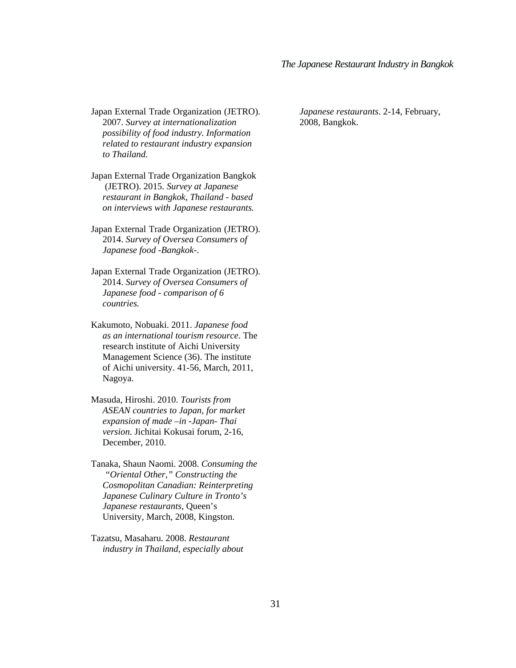Japan External Trade Organization (JETRO). 2007. *Survey at internationalization possibility of food industry. Information related to restaurant industry expansion to Thailand.*

- Japan External Trade Organization Bangkok (JETRO). 2015. *Survey at Japanese restaurant in Bangkok, Thailand - based on interviews with Japanese restaurants.*
- Japan External Trade Organization (JETRO). 2014. *Survey of Oversea Consumers of Japanese food -Bangkok-*.
- Japan External Trade Organization (JETRO). 2014. *Survey of Oversea Consumers of Japanese food - comparison of 6 countries.*
- Kakumoto, Nobuaki. 2011. *Japanese food as an international tourism resource*. The research institute of Aichi University Management Science (36). The institute of Aichi university. 41-56, March, 2011, Nagoya.
- Masuda, Hiroshi. 2010. *Tourists from ASEAN countries to Japan, for market expansion of made –in -Japan- Thai version*. Jichitai Kokusai forum, 2-16, December, 2010.
- Tanaka, Shaun Naomi. 2008. *Consuming the "Oriental Other," Constructing the Cosmopolitan Canadian: Reinterpreting Japanese Culinary Culture in Tronto's Japanese restaurants,* Queen's University, March, 2008, Kingston.
- Tazatsu, Masaharu. 2008. *Restaurant industry in Thailand, especially about*

 *Japanese restaurants*. 2-14, February, 2008, Bangkok.